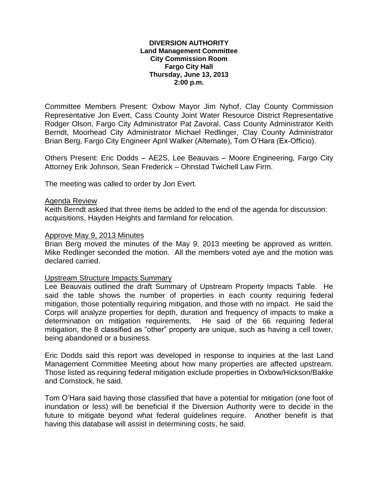### **DIVERSION AUTHORITY Land Management Committee City Commission Room Fargo City Hall Thursday, June 13, 2013 2:00 p.m.**

Committee Members Present: Oxbow Mayor Jim Nyhof, Clay County Commission Representative Jon Evert, Cass County Joint Water Resource District Representative Rodger Olson, Fargo City Administrator Pat Zavoral, Cass County Administrator Keith Berndt, Moorhead City Administrator Michael Redlinger, Clay County Administrator Brian Berg, Fargo City Engineer April Walker (Alternate), Tom O'Hara (Ex-Officio).

Others Present: Eric Dodds – AE2S, Lee Beauvais – Moore Engineering, Fargo City Attorney Erik Johnson, Sean Frederick – Ohnstad Twichell Law Firm.

The meeting was called to order by Jon Evert.

#### Agenda Review

Keith Berndt asked that three items be added to the end of the agenda for discussion: acquisitions, Hayden Heights and farmland for relocation.

### Approve May 9, 2013 Minutes

Brian Berg moved the minutes of the May 9, 2013 meeting be approved as written. Mike Redlinger seconded the motion. All the members voted aye and the motion was declared carried.

#### Upstream Structure Impacts Summary

Lee Beauvais outlined the draft Summary of Upstream Property Impacts Table. He said the table shows the number of properties in each county requiring federal mitigation, those potentially requiring mitigation, and those with no impact. He said the Corps will analyze properties for depth, duration and frequency of impacts to make a determination on mitigation requirements. He said of the 66 requiring federal mitigation, the 8 classified as "other" property are unique, such as having a cell tower, being abandoned or a business.

Eric Dodds said this report was developed in response to inquiries at the last Land Management Committee Meeting about how many properties are affected upstream. Those listed as requiring federal mitigation exclude properties in Oxbow/Hickson/Bakke and Comstock, he said.

Tom O'Hara said having those classified that have a potential for mitigation (one foot of inundation or less) will be beneficial if the Diversion Authority were to decide in the future to mitigate beyond what federal guidelines require. Another benefit is that having this database will assist in determining costs, he said.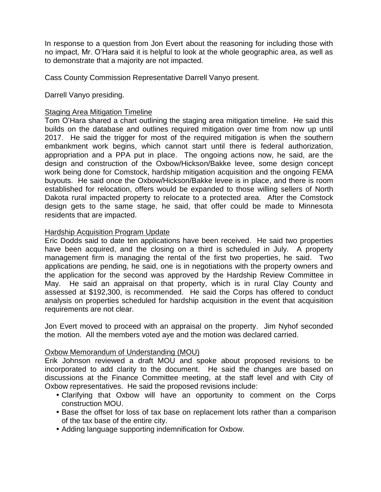In response to a question from Jon Evert about the reasoning for including those with no impact, Mr. O'Hara said it is helpful to look at the whole geographic area, as well as to demonstrate that a majority are not impacted.

Cass County Commission Representative Darrell Vanyo present.

Darrell Vanyo presiding.

# **Staging Area Mitigation Timeline**

Tom O'Hara shared a chart outlining the staging area mitigation timeline. He said this builds on the database and outlines required mitigation over time from now up until 2017. He said the trigger for most of the required mitigation is when the southern embankment work begins, which cannot start until there is federal authorization, appropriation and a PPA put in place. The ongoing actions now, he said, are the design and construction of the Oxbow/Hickson/Bakke levee, some design concept work being done for Comstock, hardship mitigation acquisition and the ongoing FEMA buyouts. He said once the Oxbow/Hickson/Bakke levee is in place, and there is room established for relocation, offers would be expanded to those willing sellers of North Dakota rural impacted property to relocate to a protected area. After the Comstock design gets to the same stage, he said, that offer could be made to Minnesota residents that are impacted.

# **Hardship Acquisition Program Update**

Eric Dodds said to date ten applications have been received. He said two properties have been acquired, and the closing on a third is scheduled in July. A property management firm is managing the rental of the first two properties, he said. Two applications are pending, he said, one is in negotiations with the property owners and the application for the second was approved by the Hardship Review Committee in May. He said an appraisal on that property, which is in rural Clay County and assessed at \$192,300, is recommended. He said the Corps has offered to conduct analysis on properties scheduled for hardship acquisition in the event that acquisition requirements are not clear.

Jon Evert moved to proceed with an appraisal on the property. Jim Nyhof seconded the motion. All the members voted aye and the motion was declared carried.

# Oxbow Memorandum of Understanding (MOU)

Erik Johnson reviewed a draft MOU and spoke about proposed revisions to be incorporated to add clarity to the document. He said the changes are based on discussions at the Finance Committee meeting, at the staff level and with City of Oxbow representatives. He said the proposed revisions include:

- Clarifying that Oxbow will have an opportunity to comment on the Corps construction MOU.
- Base the offset for loss of tax base on replacement lots rather than a comparison of the tax base of the entire city.
- Adding language supporting indemnification for Oxbow.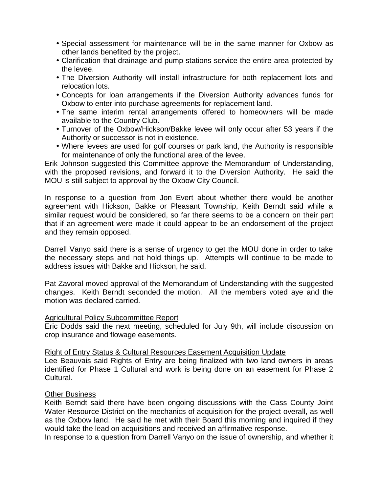- Special assessment for maintenance will be in the same manner for Oxbow as other lands benefited by the project.
- Clarification that drainage and pump stations service the entire area protected by the levee.
- The Diversion Authority will install infrastructure for both replacement lots and relocation lots.
- Concepts for loan arrangements if the Diversion Authority advances funds for Oxbow to enter into purchase agreements for replacement land.
- The same interim rental arrangements offered to homeowners will be made available to the Country Club.
- Turnover of the Oxbow/Hickson/Bakke levee will only occur after 53 years if the Authority or successor is not in existence.
- Where levees are used for golf courses or park land, the Authority is responsible for maintenance of only the functional area of the levee.

Erik Johnson suggested this Committee approve the Memorandum of Understanding, with the proposed revisions, and forward it to the Diversion Authority. He said the MOU is still subject to approval by the Oxbow City Council.

In response to a question from Jon Evert about whether there would be another agreement with Hickson, Bakke or Pleasant Township, Keith Berndt said while a similar request would be considered, so far there seems to be a concern on their part that if an agreement were made it could appear to be an endorsement of the project and they remain opposed.

Darrell Vanyo said there is a sense of urgency to get the MOU done in order to take the necessary steps and not hold things up. Attempts will continue to be made to address issues with Bakke and Hickson, he said.

Pat Zavoral moved approval of the Memorandum of Understanding with the suggested changes. Keith Berndt seconded the motion. All the members voted aye and the motion was declared carried.

## Agricultural Policy Subcommittee Report

Eric Dodds said the next meeting, scheduled for July 9th, will include discussion on crop insurance and flowage easements.

## Right of Entry Status & Cultural Resources Easement Acquisition Update

Lee Beauvais said Rights of Entry are being finalized with two land owners in areas identified for Phase 1 Cultural and work is being done on an easement for Phase 2 Cultural.

## Other Business

Keith Berndt said there have been ongoing discussions with the Cass County Joint Water Resource District on the mechanics of acquisition for the project overall, as well as the Oxbow land. He said he met with their Board this morning and inquired if they would take the lead on acquisitions and received an affirmative response.

In response to a question from Darrell Vanyo on the issue of ownership, and whether it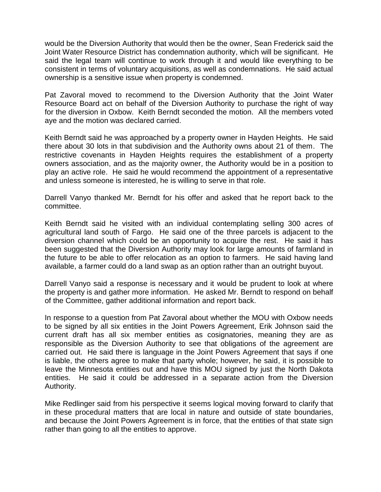would be the Diversion Authority that would then be the owner, Sean Frederick said the Joint Water Resource District has condemnation authority, which will be significant. He said the legal team will continue to work through it and would like everything to be consistent in terms of voluntary acquisitions, as well as condemnations. He said actual ownership is a sensitive issue when property is condemned.

Pat Zavoral moved to recommend to the Diversion Authority that the Joint Water Resource Board act on behalf of the Diversion Authority to purchase the right of way for the diversion in Oxbow. Keith Berndt seconded the motion. All the members voted aye and the motion was declared carried.

Keith Berndt said he was approached by a property owner in Hayden Heights. He said there about 30 lots in that subdivision and the Authority owns about 21 of them. The restrictive covenants in Hayden Heights requires the establishment of a property owners association, and as the majority owner, the Authority would be in a position to play an active role. He said he would recommend the appointment of a representative and unless someone is interested, he is willing to serve in that role.

Darrell Vanyo thanked Mr. Berndt for his offer and asked that he report back to the committee.

Keith Berndt said he visited with an individual contemplating selling 300 acres of agricultural land south of Fargo. He said one of the three parcels is adjacent to the diversion channel which could be an opportunity to acquire the rest. He said it has been suggested that the Diversion Authority may look for large amounts of farmland in the future to be able to offer relocation as an option to farmers. He said having land available, a farmer could do a land swap as an option rather than an outright buyout.

Darrell Vanyo said a response is necessary and it would be prudent to look at where the property is and gather more information. He asked Mr. Berndt to respond on behalf of the Committee, gather additional information and report back.

In response to a question from Pat Zavoral about whether the MOU with Oxbow needs to be signed by all six entities in the Joint Powers Agreement, Erik Johnson said the current draft has all six member entities as cosignatories, meaning they are as responsible as the Diversion Authority to see that obligations of the agreement are carried out. He said there is language in the Joint Powers Agreement that says if one is liable, the others agree to make that party whole; however, he said, it is possible to leave the Minnesota entities out and have this MOU signed by just the North Dakota entities. He said it could be addressed in a separate action from the Diversion Authority.

Mike Redlinger said from his perspective it seems logical moving forward to clarify that in these procedural matters that are local in nature and outside of state boundaries, and because the Joint Powers Agreement is in force, that the entities of that state sign rather than going to all the entities to approve.